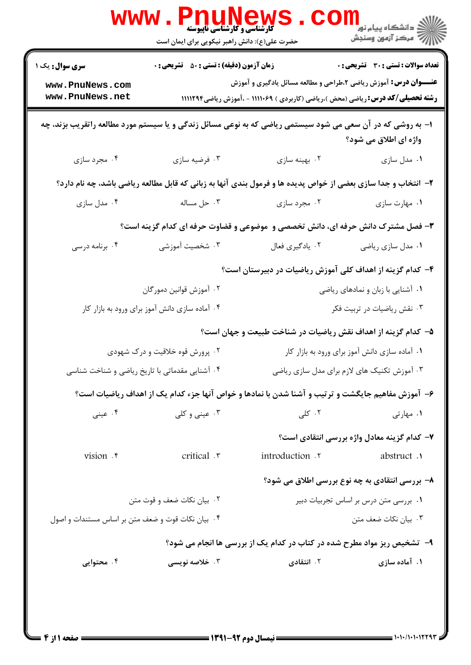| تعداد سوالات : تستى : 30 ٪ تشريحي : 0                                           |                                                                                                               | <b>زمان آزمون (دقیقه) : تستی : 50 ٪ تشریحی : 0</b> | <b>سری سوال :</b> یک ۱                            |  |
|---------------------------------------------------------------------------------|---------------------------------------------------------------------------------------------------------------|----------------------------------------------------|---------------------------------------------------|--|
|                                                                                 | <b>عنـــوان درس:</b> آموزش ریاضی ۲،طراحی و مطالعه مسائل یادگیری و آموزش                                       |                                                    | www.PnuNews.com                                   |  |
|                                                                                 | <b>رشته تحصیلی/کد درس:</b> ریاضی (محض )،ریاضی (کاربردی ) ۱۱۱۱۰۶۹ - ،آموزش ریاضی1۱۱۱۲۹۴                        |                                                    | www.PnuNews.net                                   |  |
| واژه ای اطلاق می شود؟                                                           | ا– به روشی که در آن سعی می شود سیستمی ریاضی که به نوعی مسائل زندگی و یا سیستم مورد مطالعه راتقریب بزند، چه    |                                                    |                                                   |  |
| ۰۱ مدل سازی                                                                     | ۰۲ بهينه سازى                                                                                                 | ۰۳ فرضيه سازي                                      | ۰۴ مجرد سازی                                      |  |
|                                                                                 | ۲- انتخاب و جدا سازی بعضی از خواص پدیده ها و فرمول بندی آنها به زبانی که قابل مطالعه ریاضی باشد، چه نام دارد؟ |                                                    |                                                   |  |
| ۰۱ مهارت سازی                                                                   | ۰۲ مجرد سازی                                                                                                  | ۰۳ حل مساله                                        | ۰۴ مدل سازی                                       |  |
| ۳- فصل مشترک دانش حرفه ای، دانش تخصصی و  موضوعی و قضاوت حرفه ای کدام گزینه است؟ |                                                                                                               |                                                    |                                                   |  |
| ۰۱ مدل سازي رياضي                                                               | ۰۲ يادگيري فعال                                                                                               | ۰۳ شخصیت آموزشی                                    | ۰۴ برنامه درسی                                    |  |
|                                                                                 | ۴– کدام گزینه از اهداف کلی آموزش ریاضیات در دبیرستان است؟                                                     |                                                    |                                                   |  |
| ۰۱ آشنایی با زبان و نمادهای ریاضی                                               |                                                                                                               | ۰۲ آموزش قوانین دمورگان                            |                                                   |  |
| ۰۳ نقش ریاضیات در تربیت فکر                                                     |                                                                                                               |                                                    | ۰۴ آماده سازی دانش آموز برای ورود به بازار کار    |  |
|                                                                                 | ۵– کدام گزینه از اهداف نقش ریاضیات در شناخت طبیعت و جهان است؟                                                 |                                                    |                                                   |  |
| ۰۱ آماده سازی دانش آموز برای ورود به بازار کار                                  |                                                                                                               | ۰۲ پرورش قوه خلاقیت و درک شهودی                    |                                                   |  |
| ۰۳ آموزش تکنیک های لازم برای مدل سازی ریاضی                                     |                                                                                                               | ۰۴ آشنایی مقدماتی با تاریخ ریاضی و شناخت شناسی     |                                                   |  |
|                                                                                 | ۶- آموزش مفاهیم جایگشت و ترتیب و آشنا شدن با نمادها و خواص آنها جزء کدام یک از اهداف ریاضیات است؟             |                                                    |                                                   |  |
| ۰۱ مهارتی                                                                       | ۰۲ کلی                                                                                                        | ۰۳ عینی و کلی                                      | ۰۴ عینی                                           |  |
| ۷- کدام گزینه معادل واژه بررسی انتقادی است؟                                     |                                                                                                               |                                                    |                                                   |  |
| abstruct.                                                                       | introduction .Y                                                                                               | critical .r                                        | vision . r                                        |  |
| ۸- بررسی انتقادی به چه نوع بررسی اطلاق می شود؟                                  |                                                                                                               |                                                    |                                                   |  |
| ۰۱ بررسی متن درس بر اساس تجربیات دبیر                                           |                                                                                                               | ۰۲ بیان نکات ضعف و قوت متن                         |                                                   |  |
| ۰۳ بیان نکات ضعف متن                                                            |                                                                                                               |                                                    | ۰۴ بیان نکات قوت و ضعف متن بر اساس مستندات و اصول |  |
|                                                                                 | ۹-۔ تشخیص ریز مواد مطرح شده در کتاب در کدام یک از بررسی ها انجام می شود؟                                      |                                                    |                                                   |  |
| ۰۱ آماده سازی                                                                   | ۰۲ انتقادی                                                                                                    | ۰۳ خلاصه نویس <i>ی</i>                             | ۰۴ محتوایی                                        |  |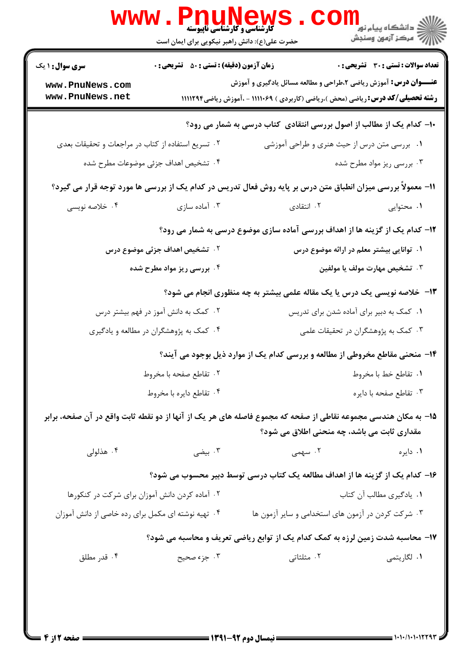|                                                    | المسلم السياسي وكارشناسي تابيوسته بالمسلم المسلم المسلم المسلم المسلم المسلم المسلم المسلم المسلم ال<br>حضرت علی(ع): دانش راهبر نیکویی برای ایمان است |                                                                                                                                                                   | <mark>د</mark> دانشگاه پيام نور<br>// مرکز آزمون وسنجش |
|----------------------------------------------------|-------------------------------------------------------------------------------------------------------------------------------------------------------|-------------------------------------------------------------------------------------------------------------------------------------------------------------------|--------------------------------------------------------|
| <b>سری سوال : ۱ یک</b>                             | <b>زمان آزمون (دقیقه) : تستی : 50 ٪ تشریحی : 0</b>                                                                                                    |                                                                                                                                                                   | تعداد سوالات : تستي : 30 ٪ تشريحي : 0                  |
| www.PnuNews.com<br>www.PnuNews.net                 |                                                                                                                                                       | <b>عنـــوان درس:</b> آموزش ریاضی ۲،طراحی و مطالعه مسائل یادگیری و آموزش<br><b>رشته تحصیلی/کد درس:</b> ریاضی (محض )،ریاضی (کاربردی ) ۱۱۱۱۰۶۹ - ،آموزش ریاضی1۱۱۱۲۹۴ |                                                        |
|                                                    |                                                                                                                                                       | <b>۱۰</b> - کدام یک از مطالب از اصول بررسی انتقادی کتاب درسی به شمار می رود؟                                                                                      |                                                        |
| ۰۲ تسریع استفاده از کتاب در مراجعات و تحقیقات بعدی |                                                                                                                                                       | ۰۱ بررسی متن درس از حیث هنری و طراحی آموزشی                                                                                                                       |                                                        |
|                                                    | ۰۴ تشخیص اهداف جزئی موضوعات مطرح شده                                                                                                                  |                                                                                                                                                                   | ۰۳ بررسی ریز مواد مطرح شده                             |
|                                                    |                                                                                                                                                       | 11- معمولاً بررسی میزان انطباق متن درس بر پایه روش فعال تدریس در کدام یک از بررسی ها مورد توجه قرار می گیرد؟                                                      |                                                        |
| ۰۴ خلاصه نویسی                                     | ۰۳ آماده سازی                                                                                                                                         | ۰۲ انتقادی                                                                                                                                                        | ۰۱ محتوایی                                             |
|                                                    |                                                                                                                                                       | ۱۲- کدام یک از گزینه ها از اهداف بررسی آماده سازی موضوع درسی به شمار می رود؟                                                                                      |                                                        |
|                                                    | <b>۲ . تشخیص اهداف جزئی موضوع درس</b>                                                                                                                 |                                                                                                                                                                   | ۰۱ توانایی بیشتر معلم در ارائه موضوع درس               |
|                                                    | ۰۴ بررسی ریز مواد مطرح شده                                                                                                                            |                                                                                                                                                                   | ۰۳ تشخیص مهارت مولف یا مولفین                          |
|                                                    |                                                                                                                                                       | ۱۳- خلاصه نویسی یک درس یا یک مقاله علمی بیشتر به چه منظوری انجام می شود؟                                                                                          |                                                        |
|                                                    | ۰۲ کمک به دانش آموز در فهم بیشتر درس                                                                                                                  |                                                                                                                                                                   | ٠١ كمك به دبير براي آماده شدن براي تدريس               |
| ۰۴ کمک به پژوهشگران در مطالعه و یادگیری            |                                                                                                                                                       |                                                                                                                                                                   | ۰۳ کمک به پژوهشگران در تحقیقات علمی                    |
|                                                    |                                                                                                                                                       | ۱۴- منحنی مقاطع مخروطی از مطالعه و بررسی کدام یک از موارد ذیل بوجود می آیند؟                                                                                      |                                                        |
|                                                    | ۰۲ تقاطع صفحه با مخروط                                                                                                                                |                                                                                                                                                                   | ٠١ تقاطع خط با مخروط                                   |
| ۰۴ تقاطع دايره با مخروط                            |                                                                                                                                                       |                                                                                                                                                                   | ۰۳ تقاطع صفحه با دايره                                 |
|                                                    |                                                                                                                                                       | ۱۵− به مکان هندسی مجموعه نقاطی از صفحه که مجموع فاصله های هر یک از آنها از دو نقطه ثابت واقع در آن صفحه، برابر                                                    |                                                        |
|                                                    |                                                                                                                                                       | مقداری ثابت می باشد، چه منحنی اطلاق می شود؟                                                                                                                       |                                                        |
| ۰۴ هذلولی                                          | ۰۳ بیضی                                                                                                                                               | ۰۲ سهمی                                                                                                                                                           | ۰۱ دايره                                               |
|                                                    |                                                                                                                                                       | ۱۶– کدام یک از گزینه ها از اهداف مطالعه یک کتاب درسی توسط دبیر محسوب می شود؟                                                                                      |                                                        |
| ۰۲ آماده کردن دانش آموزان برای شرکت در کنکورها     |                                                                                                                                                       |                                                                                                                                                                   | ۰۱ يادگيري مطالب آن كتاب                               |
| ۰۴ تهیه نوشته ای مکمل برای رده خاصی از دانش آموزان |                                                                                                                                                       | ۰۳ شرکت کردن در آزمون های استخدامی و سایر آزمون ها                                                                                                                |                                                        |
|                                                    |                                                                                                                                                       | ۱۷- محاسبه شدت زمین لرزه به کمک کدام یک از توابع ریاضی تعریف و محاسبه می شود؟                                                                                     |                                                        |
| ۰۴ قدر مطلق                                        | ۰۳ جزء صحيح                                                                                                                                           | ۰۲ مثلثاتی                                                                                                                                                        | ۰۱ لگاريتمي                                            |
|                                                    |                                                                                                                                                       |                                                                                                                                                                   |                                                        |
|                                                    |                                                                                                                                                       |                                                                                                                                                                   |                                                        |
|                                                    |                                                                                                                                                       |                                                                                                                                                                   |                                                        |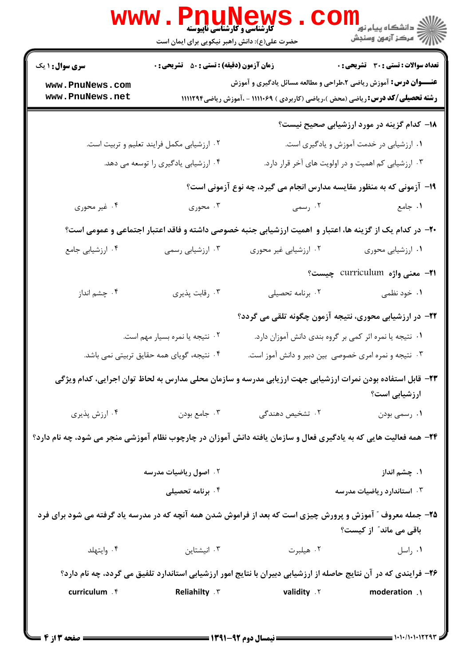|                                                                                                                                        | <b>WWW.PNUNEW</b><br>حضرت علی(ع): دانش راهبر نیکویی برای ایمان است                                      | <b>گارشناسی و کارشناسی ناپیوسته</b>                                         |                                                                                                                                                                                                                  |  |  |
|----------------------------------------------------------------------------------------------------------------------------------------|---------------------------------------------------------------------------------------------------------|-----------------------------------------------------------------------------|------------------------------------------------------------------------------------------------------------------------------------------------------------------------------------------------------------------|--|--|
| <b>سری سوال : ۱ یک</b><br>www.PnuNews.com<br>www.PnuNews.net                                                                           | <b>زمان آزمون (دقیقه) : تستی : 50 ٪ تشریحی : 0</b>                                                      |                                                                             | <b>تعداد سوالات : تستی : 30 ٪ تشریحی : 0</b><br><b>عنـــوان درس:</b> آموزش ریاضی ۲،طراحی و مطالعه مسائل یادگیری و آموزش<br><b>رشته تحصیلی/کد درس: ریاضی (محض )،ریاضی (کاربردی ) ۱۱۱۱۰۶۹ - ،آموزش ریاضی1۱۱۲۹۴</b> |  |  |
|                                                                                                                                        |                                                                                                         |                                                                             | <b>۱۸</b> – کدام گزینه در مورد ارزشیابی صحیح نیست؟                                                                                                                                                               |  |  |
|                                                                                                                                        | ۰۲ ارزشیابی مکمل فرایند تعلیم و تربیت است.                                                              |                                                                             | ۰۱ ارزشیابی در خدمت آموزش و یادگیری است.                                                                                                                                                                         |  |  |
|                                                                                                                                        | ۰۴ ارزشیابی یادگیری را توسعه می دهد.                                                                    |                                                                             | ۰۳ ارزشیابی کم اهمیت و در اولویت های آخر قرار دارد.                                                                                                                                                              |  |  |
|                                                                                                                                        |                                                                                                         |                                                                             | ۱۹- آزمونی که به منظور مقایسه مدارس انجام می گیرد، چه نوع آزمونی است؟                                                                                                                                            |  |  |
| ۰۴ غیر محوری                                                                                                                           | ۰۳ محوری                                                                                                | ۰۲ رسمی                                                                     | ۰۱ جامع                                                                                                                                                                                                          |  |  |
|                                                                                                                                        | +۲- در کدام یک از گزینه ها، اعتبار و اهمیت ارزشیابی جنبه خصوصی داشته و فاقد اعتبار اجتماعی و عمومی است؟ |                                                                             |                                                                                                                                                                                                                  |  |  |
| ۰۴ ارزشیابی جامع                                                                                                                       | ۰۳ ارزشیابی رسمی                                                                                        | ۰۲ ارزشیابی غیر محوری                                                       | ٠١. ارزشيابي محوري                                                                                                                                                                                               |  |  |
|                                                                                                                                        |                                                                                                         |                                                                             | <del>۲۱</del> - معنی واژه curriculum چیست؟                                                                                                                                                                       |  |  |
| ۰۴ چشم انداز                                                                                                                           | ۰۳ رقابت پذیری                                                                                          | ٠٢ برنامه تحصيلى                                                            | ۰۱ خود نظمی                                                                                                                                                                                                      |  |  |
|                                                                                                                                        |                                                                                                         |                                                                             | ۲۲– در ارزشیابی محوری، نتیجه آزمون چگونه تلقی می گردد؟                                                                                                                                                           |  |  |
|                                                                                                                                        | ٢. نتيجه يا نمره بسيار مهم است.                                                                         |                                                                             | ٠١ نتيجه يا نمره اثر كمي بر گروه بندي دانش آموزان دارد.                                                                                                                                                          |  |  |
|                                                                                                                                        | ۰۴ نتیجه، گویای همه حقایق تربیتی نمی باشد.                                                              |                                                                             | ۰۳ نتیجه و نمره امری خصوصی بین دبیر و دانش آموز است.                                                                                                                                                             |  |  |
| ۲۳– قابل استفاده بودن نمرات ارزشیابی جهت ارزیابی مدرسه و سازمان محلی مدارس به لحاظ توان اجرایی، کدام ویژگی<br>ارزشیابی است؟            |                                                                                                         |                                                                             |                                                                                                                                                                                                                  |  |  |
| ۰۴ ارزش پذیری                                                                                                                          | ۰۳ جامع بودن                                                                                            | ۰۲ تشخیص دهندگی                                                             | ۰۱ رسمي بودن                                                                                                                                                                                                     |  |  |
| ۲۴- همه فعالیت هایی که به یادگیری فعال و سازمان یافته دانش آموزان در چارچوب نظام آموزشی منجر می شود، چه نام دارد؟                      |                                                                                                         |                                                                             |                                                                                                                                                                                                                  |  |  |
|                                                                                                                                        | ۰۲ اصول ریاضیات مدرسه                                                                                   |                                                                             | ۰۱ چشم انداز                                                                                                                                                                                                     |  |  |
|                                                                                                                                        | ۰۴ برنامه تحصیلی                                                                                        |                                                                             | ۰۳ استاندارد ریاضیات مدرسه                                                                                                                                                                                       |  |  |
| ۲۵- جمله معروف ″ آموزش و پرورش چیزی است که بعد از فراموش شدن همه آنچه که در مدرسه یاد گرفته می شود برای فرد<br>باقی می ماند ؒ از کیست؟ |                                                                                                         |                                                                             |                                                                                                                                                                                                                  |  |  |
| ۰۴ وايتهلد                                                                                                                             | ۰۳ انیشتاین                                                                                             |                                                                             | ۰ <mark>۱</mark> راسل میلبرت ۲۰۰                                                                                                                                                                                 |  |  |
| ۲۶- فرایندی که در آن نتایج حاصله از ارزشیابی دبیران با نتایج امور ارزشیابی استاندارد تلفیق می گردد، چه نام دارد؟                       |                                                                                                         |                                                                             |                                                                                                                                                                                                                  |  |  |
| curriculum . f                                                                                                                         |                                                                                                         | <b>1. Reliahilty Amelianity Amelianity Amelianity Amelianity Amelianity</b> |                                                                                                                                                                                                                  |  |  |
|                                                                                                                                        |                                                                                                         |                                                                             |                                                                                                                                                                                                                  |  |  |